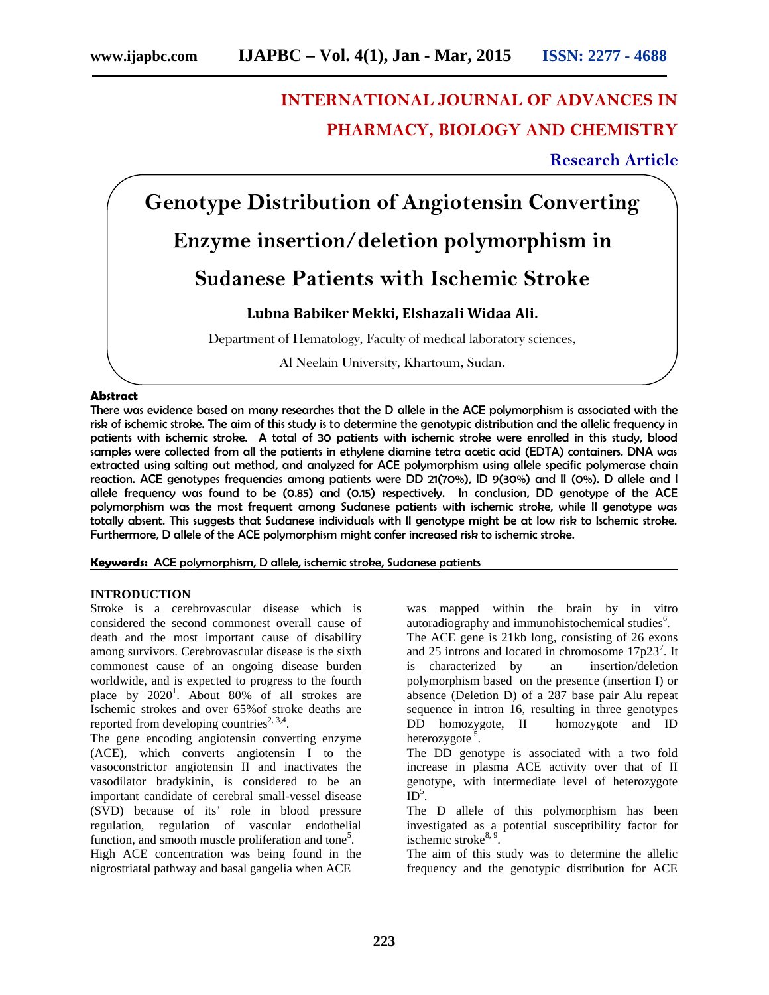# **INTERNATIONAL JOURNAL OF ADVANCES IN PHARMACY, BIOLOGY AND CHEMISTRY**

# **Research Article**

**Genotype Distribution of Angiotensin Converting Enzyme insertion/deletion polymorphism in Sudanese Patients with Ischemic Stroke Lubna Babiker Mekki, Elshazali Widaa Ali.**

Department of Hematology, Faculty of medical laboratory sciences,

Al Neelain University, Khartoum, Sudan.

#### **Abstract**

There was evidence based on many researches that the D allele in the ACE polymorphism is associated with the risk of ischemic stroke. The aim of this study is to determine the genotypic distribution and the allelic frequency in patients with ischemic stroke. A total of 30 patients with ischemic stroke were enrolled in this study, blood samples were collected from all the patients in ethylene diamine tetra acetic acid (EDTA) containers. DNA was extracted using salting out method, and analyzed for ACE polymorphism using allele specific polymerase chain reaction. ACE genotypes frequencies among patients were DD 21(70%), ID 9(30%) and II (0%). D allele and I allele frequency was found to be (0.85) and (0.15) respectively. In conclusion, DD genotype of the ACE polymorphism was the most frequent among Sudanese patients with ischemic stroke, while II genotype was totally absent. This suggests that Sudanese individuals with II genotype might be at low risk to Ischemic stroke. Furthermore, D allele of the ACE polymorphism might confer increased risk to ischemic stroke.

**Keywords:** ACE polymorphism, D allele, ischemic stroke, Sudanese patients

# **INTRODUCTION**

Stroke is a cerebrovascular disease which is considered the second commonest overall cause of death and the most important cause of disability among survivors. Cerebrovascular disease is the sixth commonest cause of an ongoing disease burden worldwide, and is expected to progress to the fourth place by  $2020<sup>1</sup>$ . About 80% of all strokes are Ischemic strokes and over 65%of stroke deaths are reported from developing countries<sup>2, 3,4</sup>.

The gene encoding angiotensin converting enzyme (ACE), which converts angiotensin I to the vasoconstrictor angiotensin II and inactivates the vasodilator bradykinin, is considered to be an important candidate of cerebral small-vessel disease (SVD) because of its' role in blood pressure regulation, regulation of vascular endothelial function, and smooth muscle proliferation and tone<sup>5</sup>. High ACE concentration was being found in the nigrostriatal pathway and basal gangelia when ACE

was mapped within the brain by in vitro autoradiography and immunohistochemical studies<sup>6</sup>. The ACE gene is 21kb long, consisting of 26 exons and 25 introns and located in chromosome  $17p23^7$ . It is characterized by an insertion/deletion polymorphism based on the presence (insertion I) or absence (Deletion D) of a 287 base pair Alu repeat sequence in intron 16, resulting in three genotypes DD homozygote, II homozygote and ID heterozygote<sup>5</sup>.

The DD genotype is associated with a two fold increase in plasma ACE activity over that of II genotype, with intermediate level of heterozygote  $ID^5$ .

The D allele of this polymorphism has been investigated as a potential susceptibility factor for ischemic stroke<sup>8, 9</sup> .

The aim of this study was to determine the allelic frequency and the genotypic distribution for ACE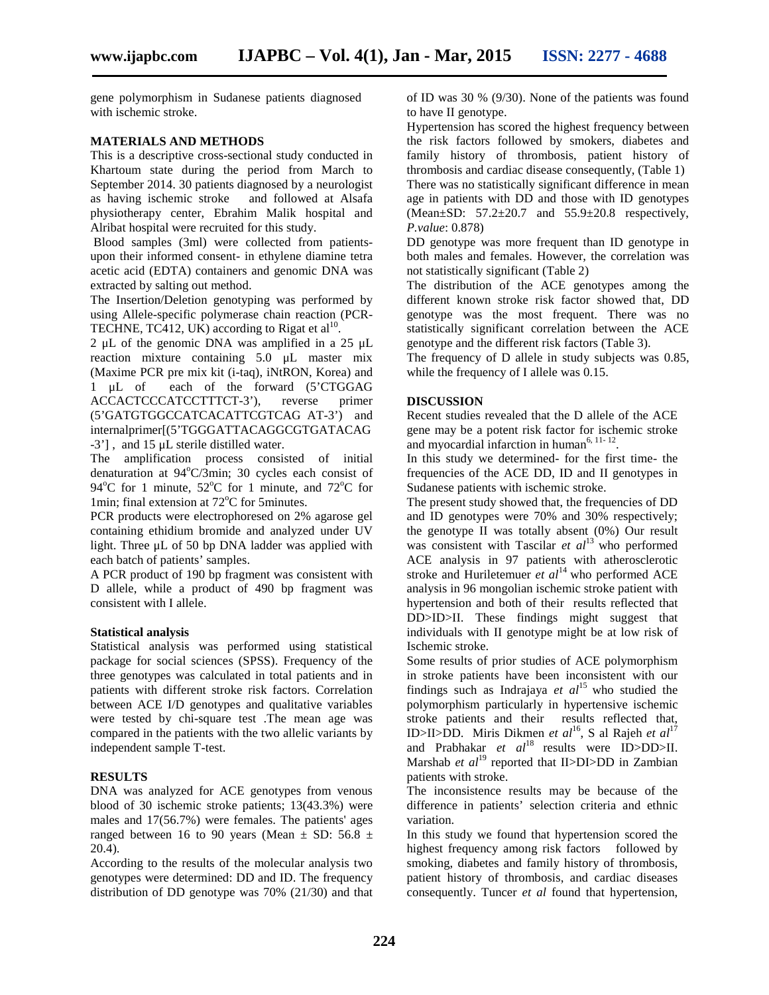gene polymorphism in Sudanese patients diagnosed with ischemic stroke.

# **MATERIALS AND METHODS**

This is a descriptive cross-sectional study conducted in Khartoum state during the period from March to September 2014. 30 patients diagnosed by a neurologist as having ischemic stroke and followed at Alsafa physiotherapy center, Ebrahim Malik hospital and Alribat hospital were recruited for this study.

Blood samples (3ml) were collected from patients upon their informed consent- in ethylene diamine tetra acetic acid (EDTA) containers and genomic DNA was extracted by salting out method.

The Insertion/Deletion genotyping was performed by using Allele-specific polymerase chain reaction (PCR- TECHNE, TC412, UK) according to Rigat et al<sup>10</sup>.

2 μL of the genomic DNA was amplified in a 25 μL reaction mixture containing 5.0 μL master mix (Maxime PCR pre mix kit (i-taq), iNtRON, Korea) and 1 μL of each of the forward (5'CTGGAG ACCACTCCCATCCTTTCT-3'), reverse primer (5'GATGTGGCCATCACATTCGTCAG AT-3') and internalprimer[(5'TGGGATTACAGGCGTGATACAG -3'] , and 15 μL sterile distilled water.

The amplification process consisted of initial denaturation at  $94^{\circ}$ C/3min; 30 cycles each consist of 94<sup>o</sup>C for 1 minute,  $52^{\circ}$ C for 1 minute, and  $72^{\circ}$ C for 1min; final extension at  $72^{\circ}$ C for 5minutes.

PCR products were electrophoresed on 2% agarose gel containing ethidium bromide and analyzed under UV light. Three μL of 50 bp DNA ladder was applied with each batch of patients' samples.

A PCR product of 190 bp fragment was consistent with D allele, while a product of 490 bp fragment was consistent with I allele.

#### **Statistical analysis**

Statistical analysis was performed using statistical package for social sciences (SPSS). Frequency of the three genotypes was calculated in total patients and in patients with different stroke risk factors. Correlation between ACE I/D genotypes and qualitative variables were tested by chi-square test .The mean age was compared in the patients with the two allelic variants by independent sample T-test.

## **RESULTS**

DNA was analyzed for ACE genotypes from venous blood of 30 ischemic stroke patients; 13(43.3%) were males and 17(56.7%) were females. The patients' ages ranged between 16 to 90 years (Mean  $\pm$  SD: 56.8  $\pm$ 20.4).

According to the results of the molecular analysis two genotypes were determined: DD and ID. The frequency distribution of DD genotype was 70% (21/30) and that of ID was 30 % (9/30). None of the patients was found to have II genotype.

Hypertension has scored the highest frequency between the risk factors followed by smokers, diabetes and family history of thrombosis, patient history of thrombosis and cardiac disease consequently, (Table 1) There was no statistically significant difference in mean age in patients with DD and those with ID genotypes (Mean $\pm$ SD: 57.2 $\pm$ 20.7 and 55.9 $\pm$ 20.8 respectively, *P.value*: 0.878)

DD genotype was more frequent than ID genotype in both males and females. However, the correlation was not statistically significant (Table 2)

The distribution of the ACE genotypes among the different known stroke risk factor showed that, DD genotype was the most frequent. There was no statistically significant correlation between the ACE genotype and the different risk factors (Table 3).

The frequency of D allele in study subjects was 0.85, while the frequency of I allele was 0.15.

## **DISCUSSION**

Recent studies revealed that the D allele of the ACE gene may be a potent risk factor for ischemic stroke and myocardial infarction in human<sup>6, 11-12</sup>.

In this study we determined- for the first time- the frequencies of the ACE DD, ID and II genotypes in Sudanese patients with ischemic stroke.

The present study showed that, the frequencies of DD and ID genotypes were 70% and 30% respectively; the genotype II was totally absent (0%) Our result was consistent with Tascilar *et al*<sup>13</sup> who performed ACE analysis in 97 patients with atherosclerotic stroke and Huriletemuer *et al*<sup>14</sup> who performed ACE analysis in 96 mongolian ischemic stroke patient with hypertension and both of their results reflected that DD>ID>II. These findings might suggest that individuals with II genotype might be at low risk of Ischemic stroke.

Some results of prior studies of ACE polymorphism in stroke patients have been inconsistent with our findings such as Indrajaya  $et$   $al^{15}$  who studied the polymorphism particularly in hypertensive ischemic stroke patients and their results reflected that, ID>II>DD. Miris Dikmen *et al*<sup>16</sup>, S al Rajeh *et al*<sup>17</sup> and Prabhakar *et al*<sup>18</sup> results were ID>DD>II. Marshab *et al*<sup>19</sup> reported that II>DI>DD in Zambian patients with stroke.

The inconsistence results may be because of the difference in patients' selection criteria and ethnic variation.

In this study we found that hypertension scored the highest frequency among risk factors followed by smoking, diabetes and family history of thrombosis, patient history of thrombosis, and cardiac diseases consequently. Tuncer *et al* found that hypertension,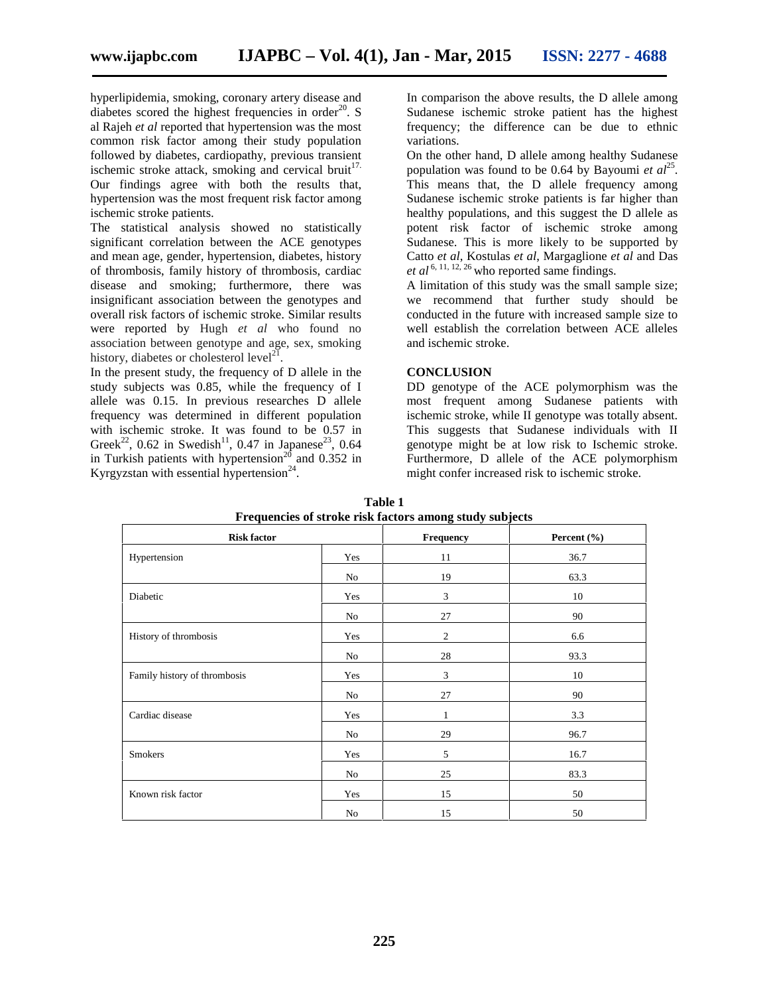hyperlipidemia, smoking, coronary artery disease and diabetes scored the highest frequencies in order $^{20}$ . S al Rajeh *et al* reported that hypertension was the most common risk factor among their study population followed by diabetes, cardiopathy, previous transient ischemic stroke attack, smoking and cervical bruit<sup>17.</sup> Our findings agree with both the results that, hypertension was the most frequent risk factor among ischemic stroke patients.

The statistical analysis showed no statistically significant correlation between the ACE genotypes and mean age, gender, hypertension, diabetes, history of thrombosis, family history of thrombosis, cardiac disease and smoking; furthermore, there was insignificant association between the genotypes and overall risk factors of ischemic stroke. Similar results were reported by Hugh *et al* who found no association between genotype and age, sex, smoking history, diabetes or cholesterol level<sup>21</sup> .

In the present study, the frequency of D allele in the study subjects was 0.85, while the frequency of I allele was 0.15. In previous researches D allele frequency was determined in different population with ischemic stroke. It was found to be 0.57 in Greek<sup>22</sup>, 0.62 in Swedish<sup>11</sup>, 0.47 in Japanese<sup>23</sup>, 0.64 in Turkish patients with hypertension<sup>20</sup> and 0.352 in Kyrgyzstan with essential hypertension<sup>24</sup>.

In comparison the above results, the D allele among Sudanese ischemic stroke patient has the highest frequency; the difference can be due to ethnic variations.

On the other hand, D allele among healthy Sudanese population was found to be 0.64 by Bayoumi *et al*<sup>25</sup>. This means that, the D allele frequency among Sudanese ischemic stroke patients is far higher than healthy populations, and this suggest the D allele as potent risk factor of ischemic stroke among Sudanese. This is more likely to be supported by Catto *et al*, Kostulas *et al*, Margaglione *et al* and Das *et al* 6, 11, 12, 26 who reported same findings.

A limitation of this study was the small sample size; we recommend that further study should be conducted in the future with increased sample size to well establish the correlation between ACE alleles and ischemic stroke.

# **CONCLUSION**

DD genotype of the ACE polymorphism was the most frequent among Sudanese patients with ischemic stroke, while II genotype was totally absent. This suggests that Sudanese individuals with II genotype might be at low risk to Ischemic stroke. Furthermore, D allele of the ACE polymorphism might confer increased risk to ischemic stroke.

| Prequencies of stroke risk factors among study subjects |          |                |                 |  |  |  |  |
|---------------------------------------------------------|----------|----------------|-----------------|--|--|--|--|
| <b>Risk factor</b>                                      |          | Frequency      | Percent $(\% )$ |  |  |  |  |
| Hypertension                                            | Yes      | 11             | 36.7            |  |  |  |  |
|                                                         | No       | 19             | 63.3            |  |  |  |  |
| Diabetic                                                | Yes      | 3              | 10              |  |  |  |  |
|                                                         | No       | 27             | 90              |  |  |  |  |
| History of thrombosis                                   | Yes      | $\overline{2}$ | 6.6             |  |  |  |  |
|                                                         | No       | 28             | 93.3            |  |  |  |  |
| Family history of thrombosis                            | Yes      | 3              | 10              |  |  |  |  |
|                                                         | $\rm No$ | 27             | 90              |  |  |  |  |
| Cardiac disease                                         | Yes      | 1              | 3.3             |  |  |  |  |
|                                                         | No       | 29             | 96.7            |  |  |  |  |
| <b>Smokers</b>                                          | Yes      | 5              | 16.7            |  |  |  |  |
|                                                         | No       | 25             | 83.3            |  |  |  |  |
| Known risk factor                                       | Yes      | 15             | 50              |  |  |  |  |
|                                                         | $\rm No$ | 15             | 50              |  |  |  |  |

**Table 1 Frequencies of stroke risk factors among study subjects**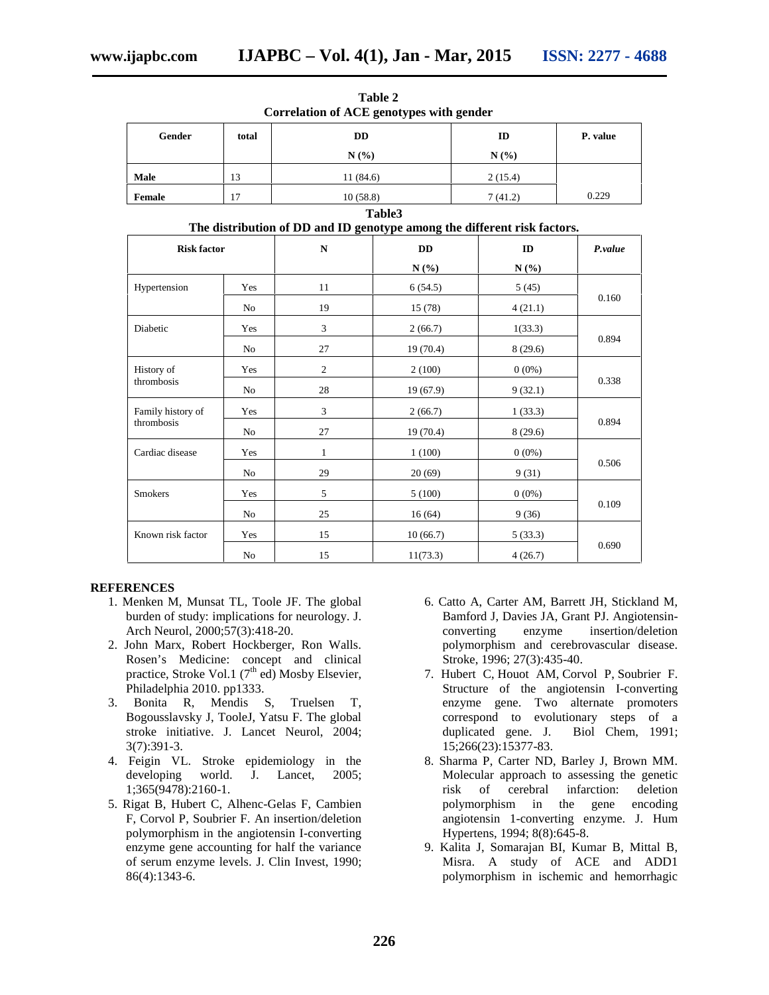| Gender                          | total | <b>DD</b><br>N(%)                                                                                    |           | ID<br>N(%) | P. value |
|---------------------------------|-------|------------------------------------------------------------------------------------------------------|-----------|------------|----------|
| Male                            | 13    | 11(84.6)                                                                                             |           | 2(15.4)    |          |
| Female                          | 17    | 10(58.8)                                                                                             |           | 7(41.2)    | 0.229    |
|                                 |       |                                                                                                      | Table3    |            |          |
| <b>Risk factor</b>              |       | The distribution of DD and ID genotype among the different risk factors.<br>$\mathbf N$<br><b>DD</b> |           | ID         | P.value  |
|                                 |       |                                                                                                      | N(%)      | N(%)       |          |
| Hypertension                    | Yes   | 11                                                                                                   | 6(54.5)   | 5(45)      | 0.160    |
|                                 | No    | 19                                                                                                   | 15(78)    | 4(21.1)    |          |
| Diabetic                        | Yes   | 3                                                                                                    | 2(66.7)   | 1(33.3)    | 0.894    |
|                                 | No    | 27                                                                                                   | 19(70.4)  | 8(29.6)    |          |
| History of<br>thrombosis        | Yes   | $\overline{c}$                                                                                       | 2(100)    | $0(0\%)$   | 0.338    |
|                                 | No    | $28\,$                                                                                               | 19 (67.9) | 9(32.1)    |          |
| Family history of<br>thrombosis | Yes   | 3                                                                                                    | 2(66.7)   | 1(33.3)    | 0.894    |
|                                 | No    | 27                                                                                                   | 19(70.4)  | 8(29.6)    |          |
| Cardiac disease                 | Yes   | $\mathbf{1}$                                                                                         | 1(100)    | $0(0\%)$   | 0.506    |
|                                 | No    | 29                                                                                                   | 20(69)    | 9(31)      |          |
| Smokers                         | Yes   | 5                                                                                                    | 5(100)    | $0(0\%)$   | 0.109    |
|                                 | No    | 25                                                                                                   | 16(64)    | 9(36)      |          |
| Known risk factor               | Yes   | 15                                                                                                   | 10(66.7)  | 5(33.3)    | 0.690    |
|                                 | No    | 15                                                                                                   | 11(73.3)  | 4(26.7)    |          |

**Table 2 Correlation of ACE genotypes with gender**

#### **REFERENCES**

- 1. Menken M, Munsat TL, Toole JF. The global burden of study: implications for neurology. J. Arch Neurol, 2000;57(3):418-20.
- 2. John Marx, Robert Hockberger, Ron Walls. Rosen's Medicine: concept and clinical practice, Stroke Vol.1 (7<sup>th</sup> ed) Mosby Elsevier, Philadelphia 2010. pp1333.
- 3. Bonita R, Mendis S, Truelsen T, Bogousslavsky J, TooleJ, Yatsu F. The global stroke initiative. J. Lancet Neurol, 2004; 3(7):391-3.
- 4. Feigin VL. Stroke epidemiology in the developing world. J. Lancet, 2005; 1;365(9478):2160-1.
- 5. Rigat B, Hubert C, Alhenc-Gelas F, Cambien F, Corvol P, Soubrier F. An insertion/deletion polymorphism in the angiotensin I-converting enzyme gene accounting for half the variance of serum enzyme levels. J. Clin Invest, 1990; 86(4):1343-6.
- 6. Catto A, Carter AM, Barrett JH, Stickland M, Bamford J, Davies JA, Grant PJ. Angiotensin converting enzyme insertion/deletion polymorphism and cerebrovascular disease. Stroke, 1996; 27(3):435-40.
- 7. Hubert C, Houot AM, Corvol P, Soubrier F. Structure of the angiotensin I-converting enzyme gene. Two alternate promoters correspond to evolutionary steps of a duplicated gene. J. Biol Chem, 1991; 15;266(23):15377-83.
- 8. Sharma P, Carter ND, Barley J, Brown MM. Molecular approach to assessing the genetic risk of cerebral infarction: deletion polymorphism in the gene angiotensin 1-converting enzyme. J. Hum Hypertens, 1994; 8(8):645-8.
- 9. Kalita J, Somarajan BI, Kumar B, Mittal B, Misra. A study of ACE and ADD1 polymorphism in ischemic and hemorrhagic